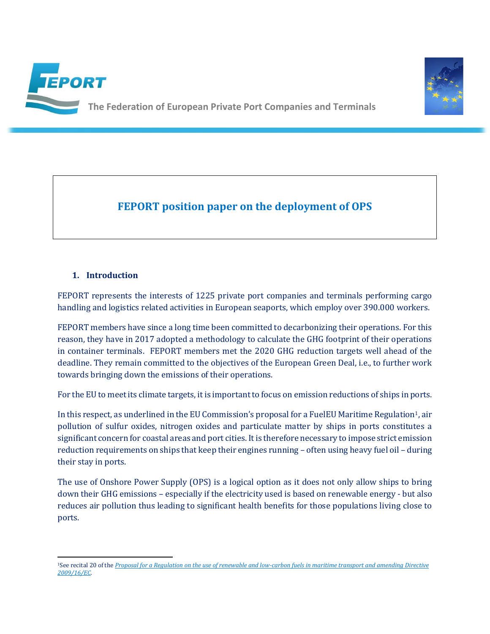



**The Federation of European Private Port Companies and Terminals** 

# **FEPORT position paper on the deployment of OPS**

## **1. Introduction**

FEPORT represents the interests of 1225 private port companies and terminals performing cargo handling and logistics related activities in European seaports, which employ over 390.000 workers.

FEPORT members have since a long time been committed to decarbonizing their operations. For this reason, they have in 2017 adopted a methodology to calculate the GHG footprint of their operations in container terminals. FEPORT members met the 2020 GHG reduction targets well ahead of the deadline. They remain committed to the objectives of the European Green Deal, i.e., to further work towards bringing down the emissions of their operations.

For the EU to meet its climate targets, it is important to focus on emission reductions of ships in ports.

In this respect, as underlined in the EU Commission's proposal for a FuelEU Maritime Regulation<sup>1</sup>, air pollution of sulfur oxides, nitrogen oxides and particulate matter by ships in ports constitutes a significant concern for coastal areas and port cities. It is therefore necessary to impose strict emission reduction requirements on ships that keep their engines running – often using heavy fuel oil – during their stay in ports.

The use of Onshore Power Supply (OPS) is a logical option as it does not only allow ships to bring down their GHG emissions – especially if the electricity used is based on renewable energy - but also reduces air pollution thus leading to significant health benefits for those populations living close to ports.

<sup>1</sup>See recital 20 of the *[Proposal for a Regulation on the use of renewable and low-carbon fuels in maritime transport and amending Directive](https://ec.europa.eu/info/sites/default/files/fueleu_maritime_-_green_european_maritime_space.pdf)  [2009/16/EC.](https://ec.europa.eu/info/sites/default/files/fueleu_maritime_-_green_european_maritime_space.pdf)*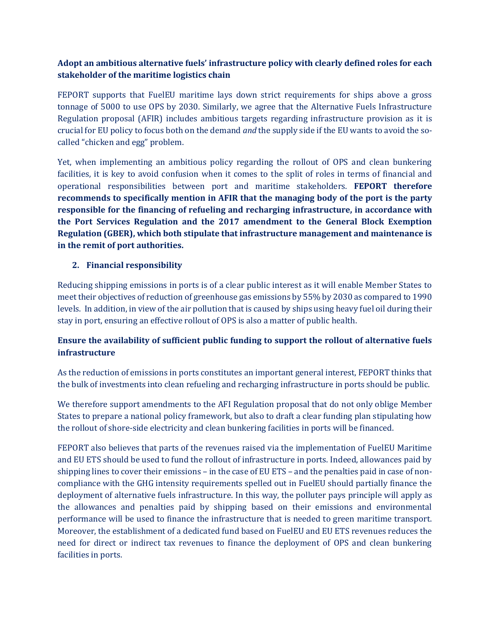## **Adopt an ambitious alternative fuels' infrastructure policy with clearly defined roles for each stakeholder of the maritime logistics chain**

FEPORT supports that FuelEU maritime lays down strict requirements for ships above a gross tonnage of 5000 to use OPS by 2030. Similarly, we agree that the Alternative Fuels Infrastructure Regulation proposal (AFIR) includes ambitious targets regarding infrastructure provision as it is crucial for EU policy to focus both on the demand *and* the supply side if the EU wants to avoid the socalled "chicken and egg" problem.

Yet, when implementing an ambitious policy regarding the rollout of OPS and clean bunkering facilities, it is key to avoid confusion when it comes to the split of roles in terms of financial and operational responsibilities between port and maritime stakeholders. **FEPORT therefore recommends to specifically mention in AFIR that the managing body of the port is the party responsible for the financing of refueling and recharging infrastructure, in accordance with the Port Services Regulation and the 2017 amendment to the General Block Exemption Regulation (GBER), which both stipulate that infrastructure management and maintenance is in the remit of port authorities.**

### **2. Financial responsibility**

Reducing shipping emissions in ports is of a clear public interest as it will enable Member States to meet their objectives of reduction of greenhouse gas emissions by 55% by 2030 as compared to 1990 levels. In addition, in view of the air pollution that is caused by ships using heavy fuel oil during their stay in port, ensuring an effective rollout of OPS is also a matter of public health.

## **Ensure the availability of sufficient public funding to support the rollout of alternative fuels infrastructure**

As the reduction of emissions in ports constitutes an important general interest, FEPORT thinks that the bulk of investments into clean refueling and recharging infrastructure in ports should be public.

We therefore support amendments to the AFI Regulation proposal that do not only oblige Member States to prepare a national policy framework, but also to draft a clear funding plan stipulating how the rollout of shore-side electricity and clean bunkering facilities in ports will be financed.

FEPORT also believes that parts of the revenues raised via the implementation of FuelEU Maritime and EU ETS should be used to fund the rollout of infrastructure in ports. Indeed, allowances paid by shipping lines to cover their emissions – in the case of EU ETS – and the penalties paid in case of noncompliance with the GHG intensity requirements spelled out in FuelEU should partially finance the deployment of alternative fuels infrastructure. In this way, the polluter pays principle will apply as the allowances and penalties paid by shipping based on their emissions and environmental performance will be used to finance the infrastructure that is needed to green maritime transport. Moreover, the establishment of a dedicated fund based on FuelEU and EU ETS revenues reduces the need for direct or indirect tax revenues to finance the deployment of OPS and clean bunkering facilities in ports.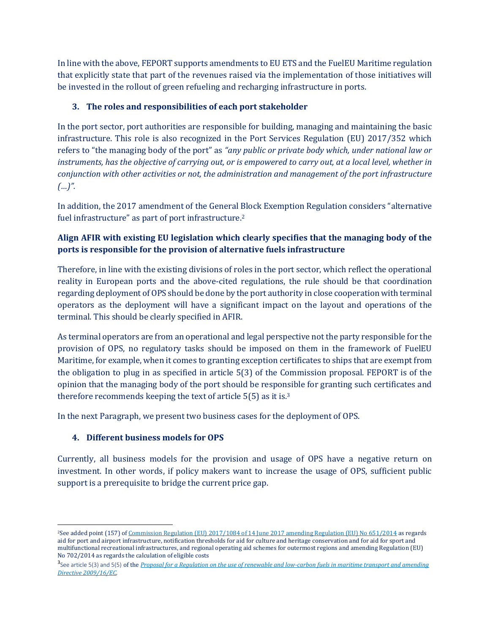In line with the above, FEPORT supports amendments to EU ETS and the FuelEU Maritime regulation that explicitly state that part of the revenues raised via the implementation of those initiatives will be invested in the rollout of green refueling and recharging infrastructure in ports.

## **3. The roles and responsibilities of each port stakeholder**

In the port sector, port authorities are responsible for building, managing and maintaining the basic infrastructure. This role is also recognized in the Port Services Regulation (EU) 2017/352 which refers to "the managing body of the port" as *"any public or private body which, under national law or instruments, has the objective of carrying out, or is empowered to carry out, at a local level, whether in conjunction with other activities or not, the administration and management of the port infrastructure (…)".* 

In addition, the 2017 amendment of the General Block Exemption Regulation considers "alternative fuel infrastructure" as part of port infrastructure. 2

# **Align AFIR with existing EU legislation which clearly specifies that the managing body of the ports is responsible for the provision of alternative fuels infrastructure**

Therefore, in line with the existing divisions of roles in the port sector, which reflect the operational reality in European ports and the above-cited regulations, the rule should be that coordination regarding deployment of OPS should be done by the port authority in close cooperation with terminal operators as the deployment will have a significant impact on the layout and operations of the terminal. This should be clearly specified in AFIR.

As terminal operators are from an operational and legal perspective not the party responsible for the provision of OPS, no regulatory tasks should be imposed on them in the framework of FuelEU Maritime, for example, when it comes to granting exception certificates to ships that are exempt from the obligation to plug in as specified in article 5(3) of the Commission proposal. FEPORT is of the opinion that the managing body of the port should be responsible for granting such certificates and therefore recommends keeping the text of article 5(5) as it is.<sup>3</sup>

In the next Paragraph, we present two business cases for the deployment of OPS.

## **4. Different business models for OPS**

Currently, all business models for the provision and usage of OPS have a negative return on investment. In other words, if policy makers want to increase the usage of OPS, sufficient public support is a prerequisite to bridge the current price gap.

<sup>2</sup>See added point (157) o[f Commission Regulation \(EU\) 2017/1084 of 14 June 2017 amending Regulation \(EU\) No 651/2014](https://eur-lex.europa.eu/legal-content/EN/TXT/PDF/?uri=CELEX:32017R1084&from=ET) as regards aid for port and airport infrastructure, notification thresholds for aid for culture and heritage conservation and for aid for sport and multifunctional recreational infrastructures, and regional operating aid schemes for outermost regions and amending Regulation (EU) No 702/2014 as regards the calculation of eligible costs

<sup>&</sup>lt;sup>3</sup>See article 5(3) and 5(5) of the *Proposal for a Regulation on the use of renewable and low-carbon fuels in maritime transport and amending [Directive 2009/16/EC.](https://ec.europa.eu/info/sites/default/files/fueleu_maritime_-_green_european_maritime_space.pdf)*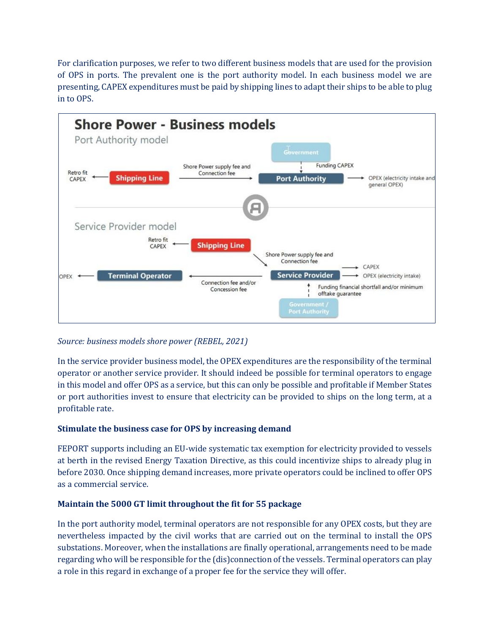For clarification purposes, we refer to two different business models that are used for the provision of OPS in ports. The prevalent one is the port authority model. In each business model we are presenting, CAPEX expenditures must be paid by shipping lines to adapt their ships to be able to plug in to OPS.



### *Source: business models shore power (REBEL, 2021)*

In the service provider business model, the OPEX expenditures are the responsibility of the terminal operator or another service provider. It should indeed be possible for terminal operators to engage in this model and offer OPS as a service, but this can only be possible and profitable if Member States or port authorities invest to ensure that electricity can be provided to ships on the long term, at a profitable rate.

### **Stimulate the business case for OPS by increasing demand**

FEPORT supports including an EU-wide systematic tax exemption for electricity provided to vessels at berth in the revised Energy Taxation Directive, as this could incentivize ships to already plug in before 2030. Once shipping demand increases, more private operators could be inclined to offer OPS as a commercial service.

### **Maintain the 5000 GT limit throughout the fit for 55 package**

In the port authority model, terminal operators are not responsible for any OPEX costs, but they are nevertheless impacted by the civil works that are carried out on the terminal to install the OPS substations. Moreover, when the installations are finally operational, arrangements need to be made regarding who will be responsible for the (dis)connection of the vessels. Terminal operators can play a role in this regard in exchange of a proper fee for the service they will offer.